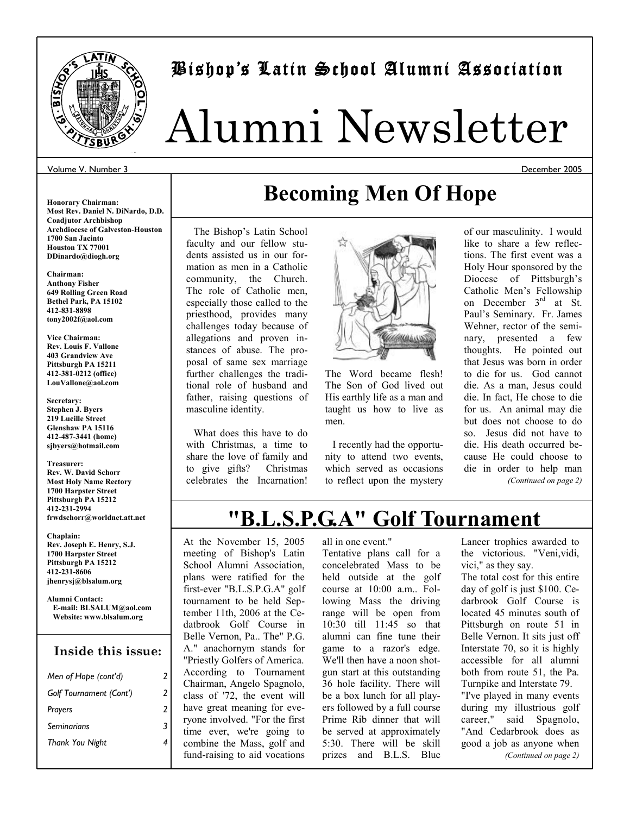

### Bishop's Latin School Alumni Association Latin Alumni

# Alumni Newsletter

#### Volume V. Number 3

**Honorary Chairman: Most Rev. Daniel N. DiNardo, D.D. Coadjutor Archbishop Archdiocese of Galveston-Houston 1700 San Jacinto Houston TX 77001 DDinardo@diogh.org** 

**Chairman: Anthony Fisher 649 Rolling Green Road Bethel Park, PA 15102 412-831-8898 tony2002f@aol.com** 

**Vice Chairman: Rev. Louis F. Vallone 403 Grandview Ave Pittsburgh PA 15211 412-381-0212 (office) LouVallone@aol.com** 

**Secretary: Stephen J. Byers 219 Lucille Street Glenshaw PA 15116 412-487-3441 (home) sjbyers@hotmail.com** 

#### **Treasurer: Rev. W. David Schorr Most Holy Name Rectory 1700 Harpster Street Pittsburgh PA 15212 412-231-2994**

**frwdschorr@worldnet.att.net Chaplain:** 

**Rev. Joseph E. Henry, S.J. 1700 Harpster Street Pittsburgh PA 15212 412-231-8606 jhenrysj@blsalum.org** 

**Alumni Contact: E-mail: BLSALUM@aol.com Website: www.blsalum.org** 

#### **Inside this issue:**

| Men of Hope (cont'd)    | 2 |
|-------------------------|---|
| Golf Tournament (Cont') | 2 |
| Prayers                 | 2 |
| Seminarians             | 3 |
| Thank You Night         |   |
|                         |   |

# **Becoming Men Of Hope**

 The Bishop's Latin School faculty and our fellow students assisted us in our formation as men in a Catholic community, the Church. The role of Catholic men, especially those called to the priesthood, provides many challenges today because of allegations and proven instances of abuse. The proposal of same sex marriage further challenges the traditional role of husband and father, raising questions of masculine identity.

 What does this have to do with Christmas, a time to share the love of family and to give gifts? Christmas celebrates the Incarnation!



The Word became flesh! The Son of God lived out His earthly life as a man and taught us how to live as men.

 I recently had the opportunity to attend two events, which served as occasions to reflect upon the mystery of our masculinity. I would like to share a few reflections. The first event was a Holy Hour sponsored by the Diocese of Pittsburgh's Catholic Men's Fellowship on December 3<sup>rd</sup> at St. Paul's Seminary. Fr. James Wehner, rector of the seminary, presented a few thoughts. He pointed out that Jesus was born in order to die for us. God cannot die. As a man, Jesus could die. In fact, He chose to die for us. An animal may die but does not choose to do so. Jesus did not have to die. His death occurred because He could choose to die in order to help man *(Continued on page 2)* 

## **"B.L.S.P.G.A" Golf Tournament**

At the November 15, 2005 meeting of Bishop's Latin School Alumni Association, plans were ratified for the first-ever "B.L.S.P.G.A" golf tournament to be held September 11th, 2006 at the Cedatbrook Golf Course in Belle Vernon, Pa.. The" P.G. A." anachornym stands for "Priestly Golfers of America. According to Tournament Chairman, Angelo Spagnolo, class of '72, the event will have great meaning for everyone involved. "For the first time ever, we're going to combine the Mass, golf and fund-raising to aid vocations

all in one event."

Tentative plans call for a concelebrated Mass to be held outside at the golf course at 10:00 a.m.. Following Mass the driving range will be open from 10:30 till 11:45 so that alumni can fine tune their game to a razor's edge. We'll then have a noon shotgun start at this outstanding 36 hole facility. There will be a box lunch for all players followed by a full course Prime Rib dinner that will be served at approximately 5:30. There will be skill prizes and B.L.S. Blue

Lancer trophies awarded to the victorious. "Veni,vidi, vici," as they say.

The total cost for this entire day of golf is just \$100. Cedarbrook Golf Course is located 45 minutes south of Pittsburgh on route 51 in Belle Vernon. It sits just off Interstate 70, so it is highly accessible for all alumni both from route 51, the Pa. Turnpike and Interstate 79. "I've played in many events during my illustrious golf career," said Spagnolo, "And Cedarbrook does as good a job as anyone when *(Continued on page 2)* 

December 2005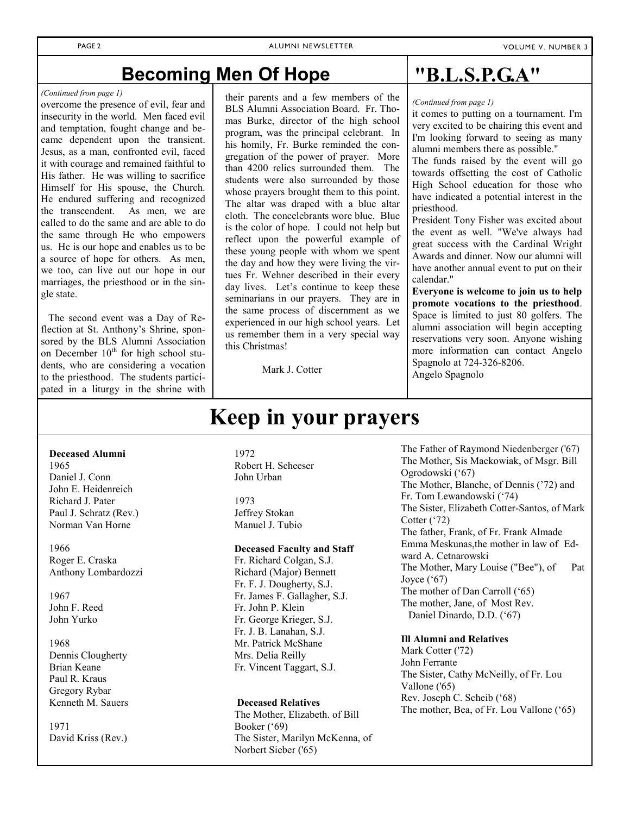### **Becoming Men Of Hope**

#### *(Continued from page 1)*

overcome the presence of evil, fear and insecurity in the world. Men faced evil and temptation, fought change and became dependent upon the transient. Jesus, as a man, confronted evil, faced it with courage and remained faithful to His father. He was willing to sacrifice Himself for His spouse, the Church. He endured suffering and recognized the transcendent. As men, we are called to do the same and are able to do the same through He who empowers us. He is our hope and enables us to be a source of hope for others. As men, we too, can live out our hope in our marriages, the priesthood or in the single state.

 The second event was a Day of Reflection at St. Anthony's Shrine, sponsored by the BLS Alumni Association on December  $10<sup>th</sup>$  for high school students, who are considering a vocation to the priesthood. The students participated in a liturgy in the shrine with

#### their parents and a few members of the BLS Alumni Association Board. Fr. Thomas Burke, director of the high school program, was the principal celebrant. In his homily, Fr. Burke reminded the congregation of the power of prayer. More than 4200 relics surrounded them. The students were also surrounded by those whose prayers brought them to this point. The altar was draped with a blue altar cloth. The concelebrants wore blue. Blue is the color of hope. I could not help but reflect upon the powerful example of these young people with whom we spent the day and how they were living the virtues Fr. Wehner described in their every day lives. Let's continue to keep these seminarians in our prayers. They are in the same process of discernment as we experienced in our high school years. Let us remember them in a very special way this Christmas!

Mark J. Cotter

**Keep in your prayers**

### **"B.L.S.P.G.A"**

*(Continued from page 1)* 

it comes to putting on a tournament. I'm very excited to be chairing this event and I'm looking forward to seeing as many alumni members there as possible."

The funds raised by the event will go towards offsetting the cost of Catholic High School education for those who have indicated a potential interest in the priesthood.

President Tony Fisher was excited about the event as well. "We've always had great success with the Cardinal Wright Awards and dinner. Now our alumni will have another annual event to put on their calendar."

**Everyone is welcome to join us to help promote vocations to the priesthood**. Space is limited to just 80 golfers. The alumni association will begin accepting reservations very soon. Anyone wishing more information can contact Angelo Spagnolo at 724-326-8206.

Angelo Spagnolo

#### **Deceased Alumni**

1965 Daniel J. Conn John E. Heidenreich Richard J. Pater Paul J. Schratz (Rev.) Norman Van Horne

1966 Roger E. Craska Anthony Lombardozzi

1967 John F. Reed John Yurko

1968 Dennis Clougherty Brian Keane Paul R. Kraus Gregory Rybar Kenneth M. Sauers

1971 David Kriss (Rev.)

#### 1972 Robert H. Scheeser John Urban

1973 Jeffrey Stokan Manuel J. Tubio

#### **Deceased Faculty and Staff**

Fr. Richard Colgan, S.J. Richard (Major) Bennett Fr. F. J. Dougherty, S.J. Fr. James F. Gallagher, S.J. Fr. John P. Klein Fr. George Krieger, S.J. Fr. J. B. Lanahan, S.J. Mr. Patrick McShane Mrs. Delia Reilly Fr. Vincent Taggart, S.J.

#### **Deceased Relatives**

The Mother, Elizabeth. of Bill Booker ('69) The Sister, Marilyn McKenna, of Norbert Sieber ('65)

The Father of Raymond Niedenberger ('67) The Mother, Sis Mackowiak, of Msgr. Bill Ogrodowski ('67) The Mother, Blanche, of Dennis ('72) and Fr. Tom Lewandowski ('74) The Sister, Elizabeth Cotter-Santos, of Mark Cotter ('72) The father, Frank, of Fr. Frank Almade Emma Meskunas,the mother in law of Edward A. Cetnarowski The Mother, Mary Louise ("Bee"), of Pat Joyce  $(^{67})$ The mother of Dan Carroll ('65) The mother, Jane, of Most Rev. Daniel Dinardo, D.D. ('67)

#### **Ill Alumni and Relatives**

Mark Cotter ('72) John Ferrante The Sister, Cathy McNeilly, of Fr. Lou Vallone ('65) Rev. Joseph C. Scheib ('68) The mother, Bea, of Fr. Lou Vallone ('65)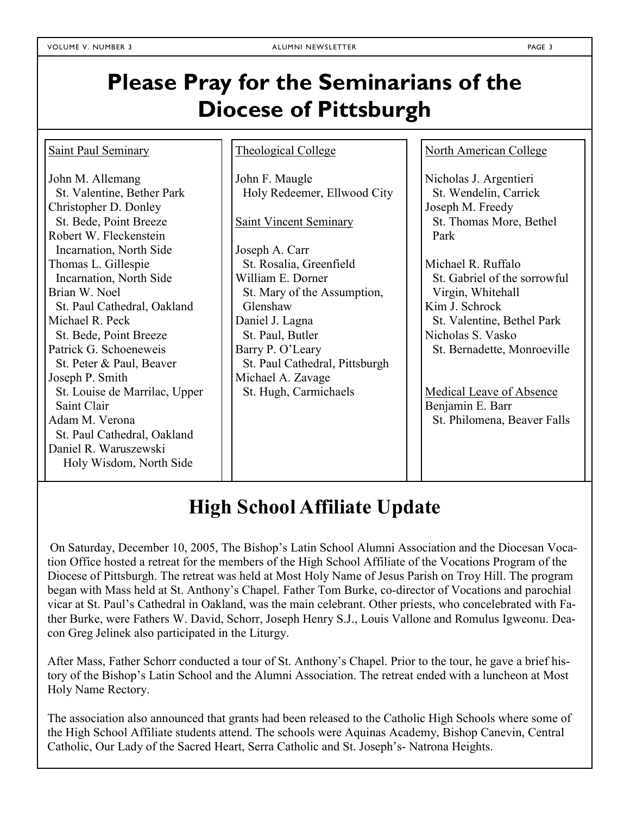# **Please Pray for the Seminarians of the Diocese of Pittsburgh**

# **High School Affiliate Update**

On Saturday, December 10, 2005, The Bishop's Latin School Alumni Association and the Diocesan Vocation Office hosted a retreat for the members of the High School Affiliate of the Vocations Program of the Diocese of Pittsburgh. The retreat was held at Most Holy Name of Jesus Parish on Troy Hill. The program began with Mass held at St. Anthony's Chapel. Father Tom Burke, co-director of Vocations and parochial vicar at St. Paul's Cathedral in Oakland, was the main celebrant. Other priests, who concelebrated with Father Burke, were Fathers W. David, Schorr, Joseph Henry S.J., Louis Vallone and Romulus Igweonu. Deacon Greg Jelinek also participated in the Liturgy.

After Mass, Father Schorr conducted a tour of St. Anthony's Chapel. Prior to the tour, he gave a brief history of the Bishop's Latin School and the Alumni Association. The retreat ended with a luncheon at Most Holy Name Rectory.

The association also announced that grants had been released to the Catholic High Schools where some of the High School Affiliate students attend. The schools were Aquinas Academy, Bishop Canevin, Central Catholic, Our Lady of the Sacred Heart, Serra Catholic and St. Joseph's- Natrona Heights.